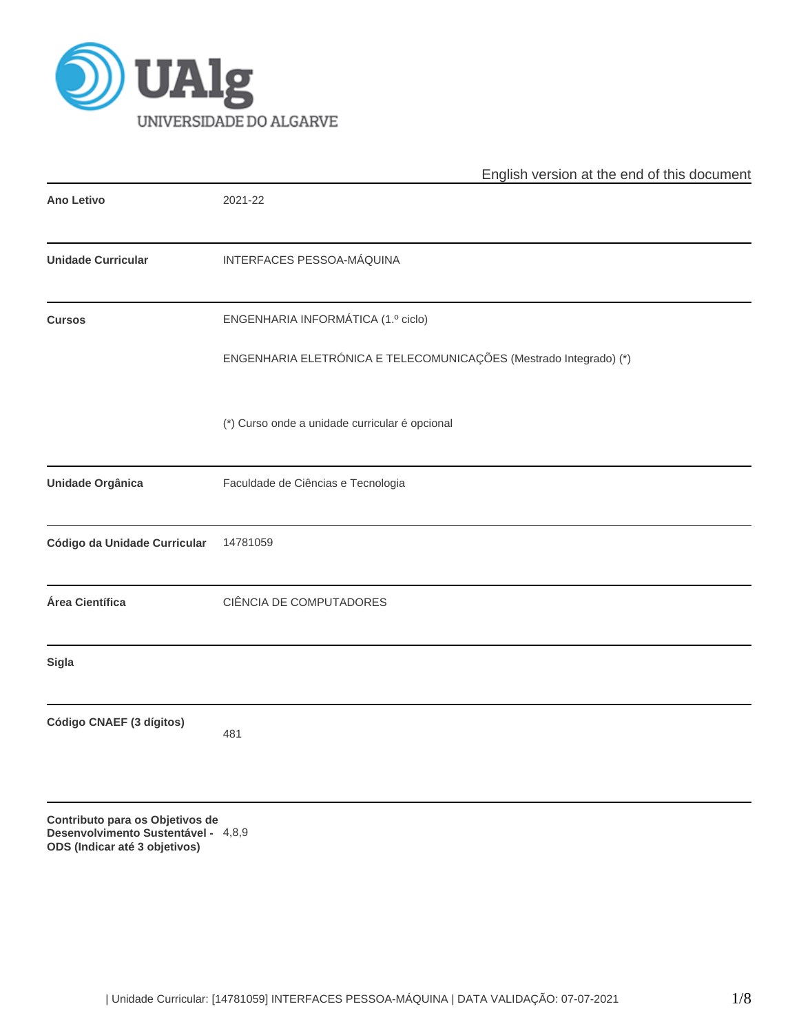

|                                                                                                         | English version at the end of this document                       |
|---------------------------------------------------------------------------------------------------------|-------------------------------------------------------------------|
| <b>Ano Letivo</b>                                                                                       | 2021-22                                                           |
| <b>Unidade Curricular</b>                                                                               | INTERFACES PESSOA-MÁQUINA                                         |
| <b>Cursos</b>                                                                                           | ENGENHARIA INFORMÁTICA (1.º ciclo)                                |
|                                                                                                         | ENGENHARIA ELETRÓNICA E TELECOMUNICAÇÕES (Mestrado Integrado) (*) |
|                                                                                                         | (*) Curso onde a unidade curricular é opcional                    |
| Unidade Orgânica                                                                                        | Faculdade de Ciências e Tecnologia                                |
| Código da Unidade Curricular                                                                            | 14781059                                                          |
| Área Científica                                                                                         | CIÊNCIA DE COMPUTADORES                                           |
| <b>Sigla</b>                                                                                            |                                                                   |
| Código CNAEF (3 dígitos)                                                                                | 481                                                               |
| Contributo para os Objetivos de<br>Desenvolvimento Sustentável - 4,8,9<br>ODS (Indicar até 3 objetivos) |                                                                   |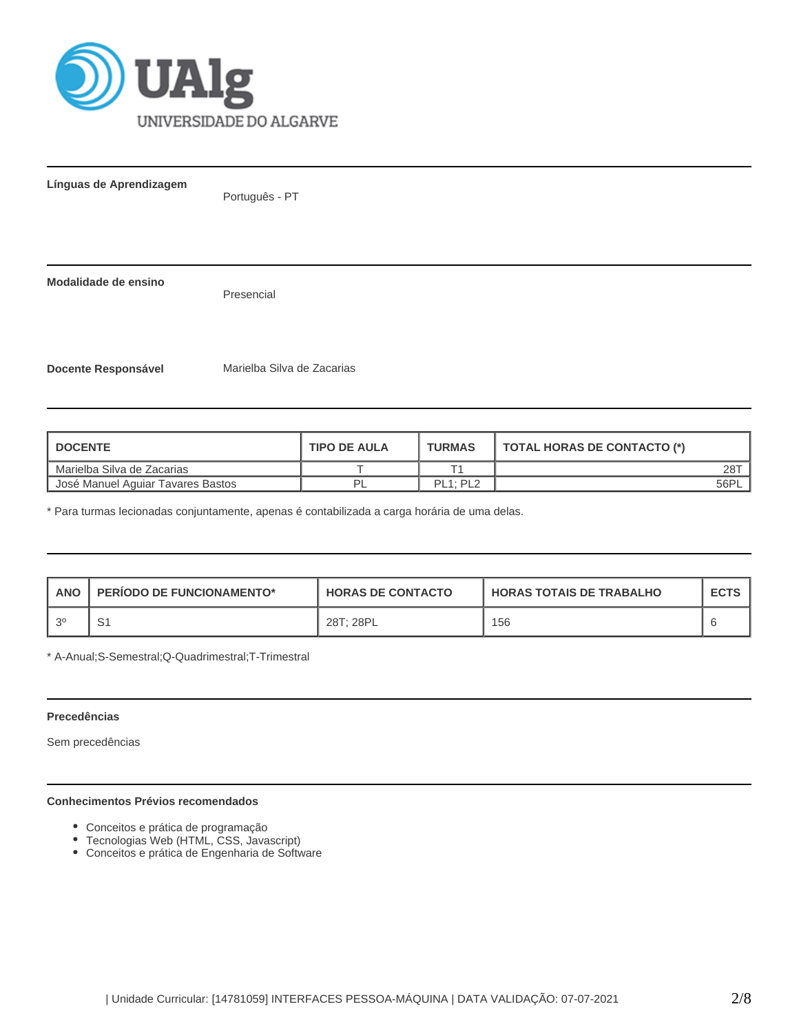

**Línguas de Aprendizagem**

Português - PT

**Modalidade de ensino**

Presencial

**Docente Responsável** Marielba Silva de Zacarias

| <b>I DOCENTE</b>                  | <b>TIPO DE AULA</b> | <b>TURMAS</b>                     | TOTAL HORAS DE CONTACTO (*) |
|-----------------------------------|---------------------|-----------------------------------|-----------------------------|
| Marielba Silva de Zacarias        |                     |                                   | 28T                         |
| Uosé Manuel Aquiar Tavares Bastos |                     | PL <sub>1</sub> : PL <sub>2</sub> | 56PL                        |

\* Para turmas lecionadas conjuntamente, apenas é contabilizada a carga horária de uma delas.

| <b>ANO</b> | <b>PERIODO DE FUNCIONAMENTO*</b> | <b>HORAS DE CONTACTO</b> | <b>HORAS TOTAIS DE TRABALHO</b> | <b>ECTS</b> |
|------------|----------------------------------|--------------------------|---------------------------------|-------------|
| 20         |                                  | 28T; 28PL                | 156                             |             |

\* A-Anual;S-Semestral;Q-Quadrimestral;T-Trimestral

## **Precedências**

Sem precedências

### **Conhecimentos Prévios recomendados**

- Conceitos e prática de programação
- Tecnologias Web (HTML, CSS, Javascript)
- Conceitos e prática de Engenharia de Software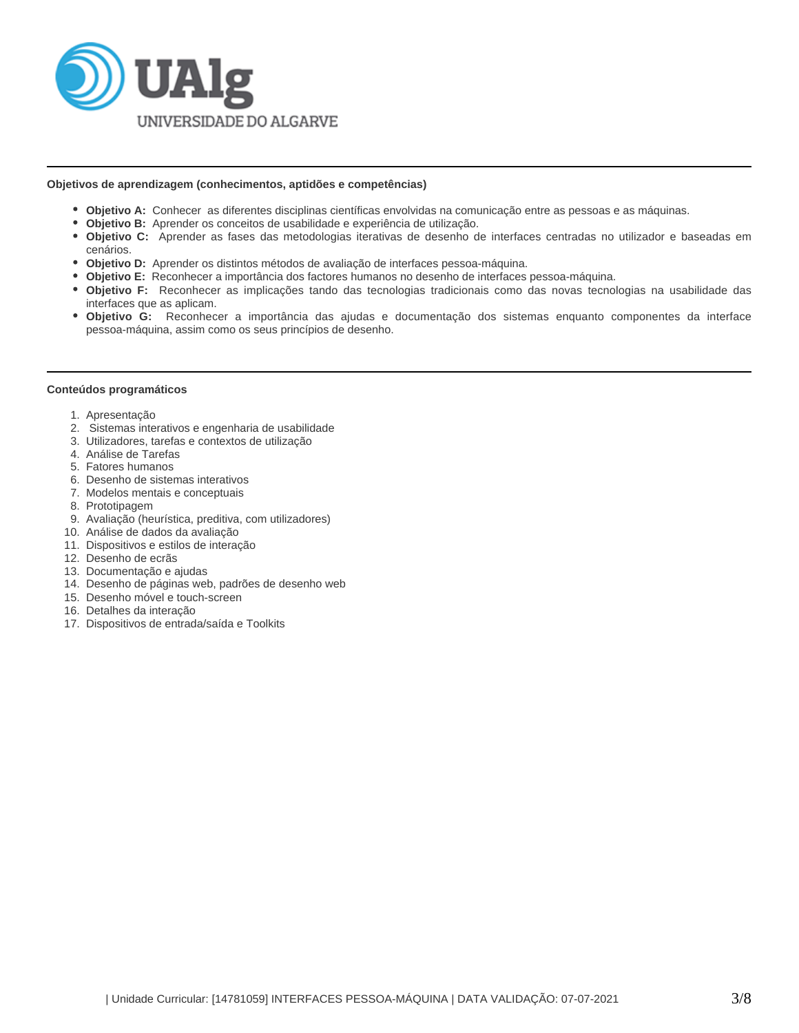

### **Objetivos de aprendizagem (conhecimentos, aptidões e competências)**

- **Objetivo A:** Conhecer as diferentes disciplinas científicas envolvidas na comunicação entre as pessoas e as máquinas.
- **Objetivo B:** Aprender os conceitos de usabilidade e experiência de utilização.
- **Objetivo C:** Aprender as fases das metodologias iterativas de desenho de interfaces centradas no utilizador e baseadas em cenários.
- **Objetivo D:** Aprender os distintos métodos de avaliação de interfaces pessoa-máquina.
- **Objetivo E:** Reconhecer a importância dos factores humanos no desenho de interfaces pessoa-máquina.
- **Objetivo F:** Reconhecer as implicações tando das tecnologias tradicionais como das novas tecnologias na usabilidade das interfaces que as aplicam.
- **Objetivo G:** Reconhecer a importância das ajudas e documentação dos sistemas enquanto componentes da interface pessoa-máquina, assim como os seus princípios de desenho.

#### **Conteúdos programáticos**

- 1. Apresentação
- 2. Sistemas interativos e engenharia de usabilidade
- 3. Utilizadores, tarefas e contextos de utilização
- 4. Análise de Tarefas
- 5. Fatores humanos
- 6. Desenho de sistemas interativos
- 7. Modelos mentais e conceptuais
- 8. Prototipagem
- 9. Avaliação (heurística, preditiva, com utilizadores)
- 10. Análise de dados da avaliação
- 11. Dispositivos e estilos de interação
- 12. Desenho de ecrãs
- 13. Documentação e ajudas
- 14. Desenho de páginas web, padrões de desenho web
- 15. Desenho móvel e touch-screen
- 16. Detalhes da interação
- 17. Dispositivos de entrada/saída e Toolkits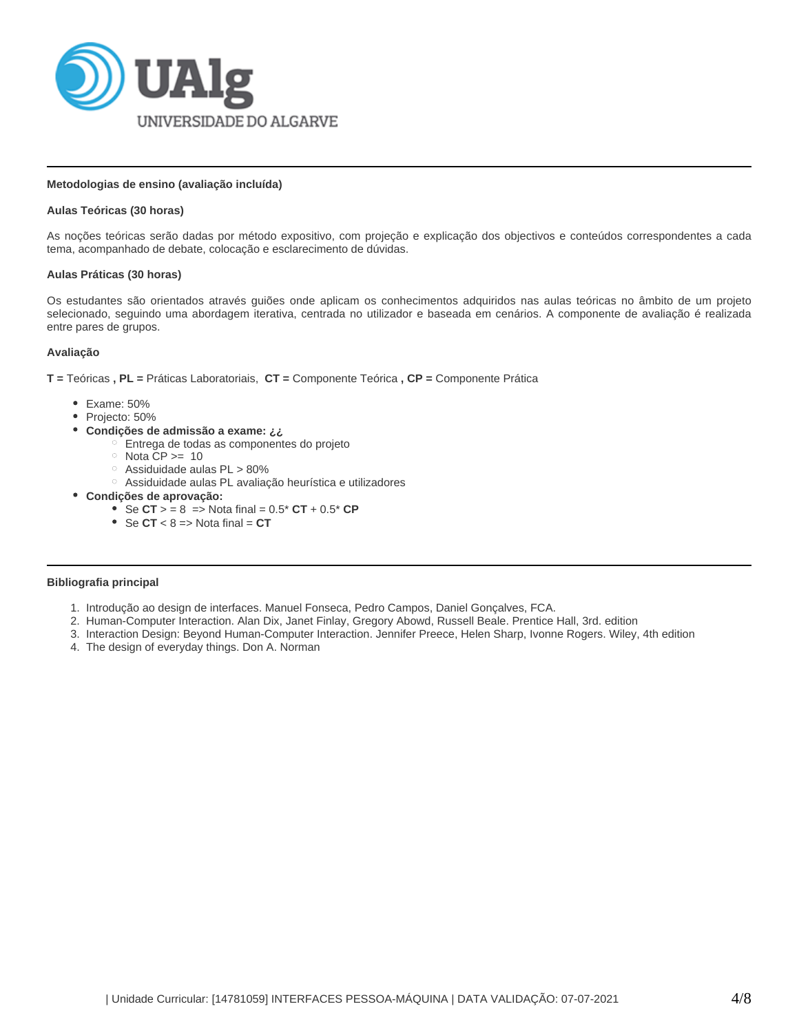

# **Metodologias de ensino (avaliação incluída)**

# **Aulas Teóricas (30 horas)**

As noções teóricas serão dadas por método expositivo, com projeção e explicação dos objectivos e conteúdos correspondentes a cada tema, acompanhado de debate, colocação e esclarecimento de dúvidas.

## **Aulas Práticas (30 horas)**

Os estudantes são orientados através guiões onde aplicam os conhecimentos adquiridos nas aulas teóricas no âmbito de um projeto selecionado, seguindo uma abordagem iterativa, centrada no utilizador e baseada em cenários. A componente de avaliação é realizada entre pares de grupos.

# **Avaliação**

**T =** Teóricas **, PL =** Práticas Laboratoriais, **CT =** Componente Teórica **, CP =** Componente Prática

- Exame: 50%
- Projecto: 50%
- **Condições de admissão a exame: ¿¿**
	- Entrega de todas as componentes do projeto
	- $\circ$  Nota CP >= 10
	- $\circ$  Assiduidade aulas PL > 80%
	- Assiduidade aulas PL avaliação heurística e utilizadores
- **Condições de aprovação:**
	- Se  $CT$  > = 8 = > Nota final =  $0.5$ <sup>\*</sup>  $CT$  +  $0.5$ <sup>\*</sup>  $CP$
	- $\bullet$  Se  $\text{CT} < 8 \Rightarrow$  Nota final =  $\text{CT}$

# **Bibliografia principal**

- 1. Introdução ao design de interfaces. Manuel Fonseca, Pedro Campos, Daniel Gonçalves, FCA.
- 2. Human-Computer Interaction. Alan Dix, Janet Finlay, Gregory Abowd, Russell Beale. Prentice Hall, 3rd. edition
- 3. Interaction Design: Beyond Human-Computer Interaction. Jennifer Preece, Helen Sharp, Ivonne Rogers. Wiley, 4th edition
- 4. The design of everyday things. Don A. Norman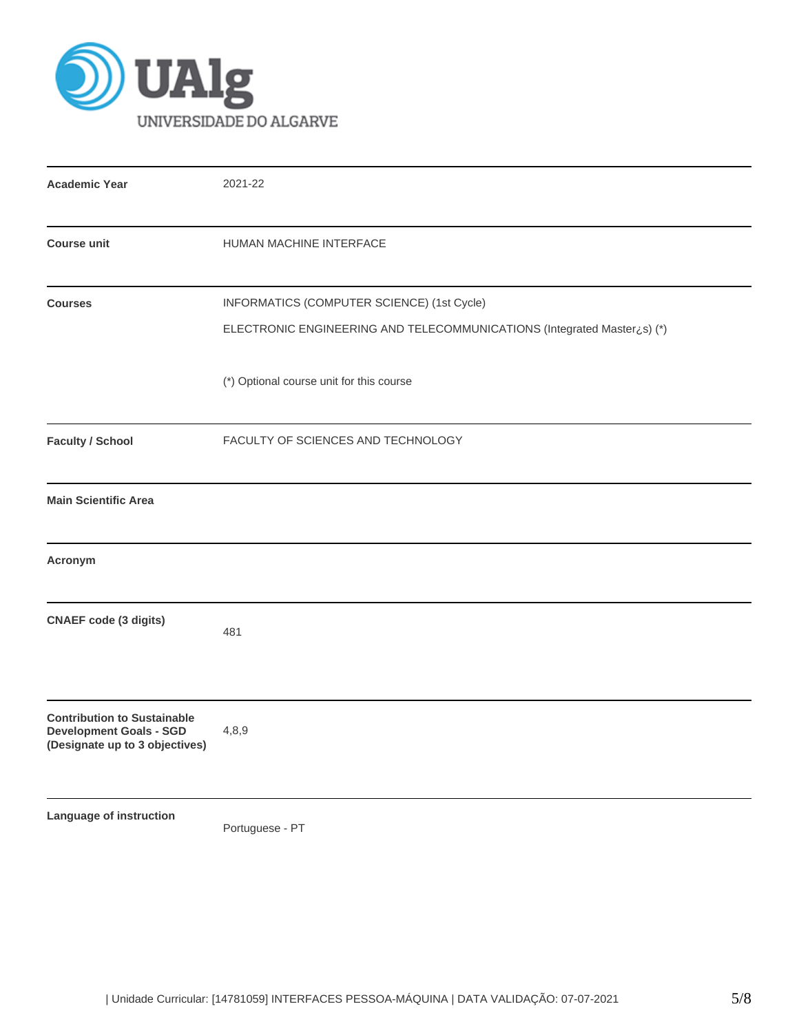

| <b>Academic Year</b>                                                                                   | 2021-22                                                                                                               |  |  |  |  |  |
|--------------------------------------------------------------------------------------------------------|-----------------------------------------------------------------------------------------------------------------------|--|--|--|--|--|
| <b>Course unit</b>                                                                                     | HUMAN MACHINE INTERFACE                                                                                               |  |  |  |  |  |
| <b>Courses</b>                                                                                         | INFORMATICS (COMPUTER SCIENCE) (1st Cycle)<br>ELECTRONIC ENGINEERING AND TELECOMMUNICATIONS (Integrated Master¿s) (*) |  |  |  |  |  |
|                                                                                                        | (*) Optional course unit for this course                                                                              |  |  |  |  |  |
| <b>Faculty / School</b>                                                                                | FACULTY OF SCIENCES AND TECHNOLOGY                                                                                    |  |  |  |  |  |
| <b>Main Scientific Area</b>                                                                            |                                                                                                                       |  |  |  |  |  |
| Acronym                                                                                                |                                                                                                                       |  |  |  |  |  |
| <b>CNAEF</b> code (3 digits)                                                                           | 481                                                                                                                   |  |  |  |  |  |
| <b>Contribution to Sustainable</b><br><b>Development Goals - SGD</b><br>(Designate up to 3 objectives) | 4,8,9                                                                                                                 |  |  |  |  |  |
| Language of instruction                                                                                | Portuguese - PT                                                                                                       |  |  |  |  |  |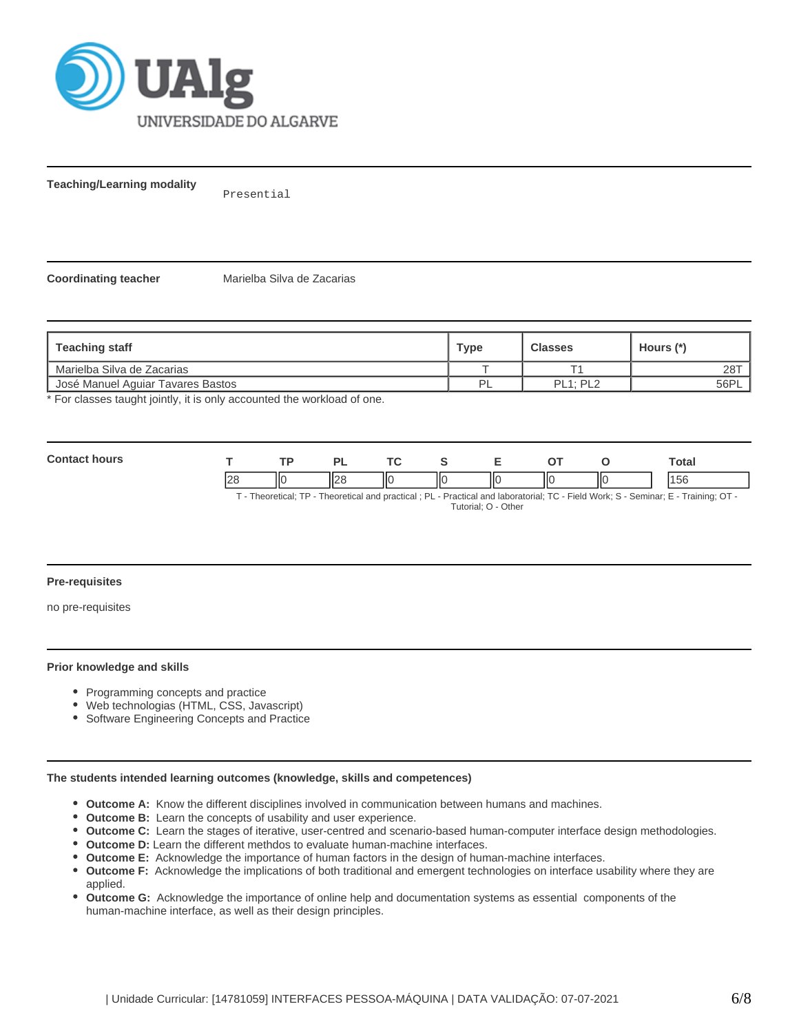

**Teaching/Learning modality**

Presential

**Coordinating teacher** Marielba Silva de Zacarias

| Teaching staff                    | <b>Type</b> | <b>Classes</b> | Hours (*) |
|-----------------------------------|-------------|----------------|-----------|
| Marielba Silva de Zacarias        |             |                | 28T       |
| José Manuel Aguiar Tavares Bastos | Þ           | PL1: PL2       | 56PL      |

\* For classes taught jointly, it is only accounted the workload of one.

| $C_{\Omega}$ |     |    | D      |    | ~- |   | Total |
|--------------|-----|----|--------|----|----|---|-------|
|              | ∎∠c | ΙЮ | $\sim$ | ШC | ΙЮ | Ш |       |

T - Theoretical; TP - Theoretical and practical ; PL - Practical and laboratorial; TC - Field Work; S - Seminar; E - Training; OT -

Tutorial; O - Other

### **Pre-requisites**

no pre-requisites

### **Prior knowledge and skills**

- Programming concepts and practice
- Web technologias (HTML, CSS, Javascript)
- Software Engineering Concepts and Practice

## **The students intended learning outcomes (knowledge, skills and competences)**

- **Outcome A:** Know the different disciplines involved in communication between humans and machines.
- **Outcome B:** Learn the concepts of usability and user experience.
- **Outcome C:** Learn the stages of iterative, user-centred and scenario-based human-computer interface design methodologies.
- **Outcome D:** Learn the different methdos to evaluate human-machine interfaces.
- **Outcome E:** Acknowledge the importance of human factors in the design of human-machine interfaces.
- **Outcome F:** Acknowledge the implications of both traditional and emergent technologies on interface usability where they are  $\bullet$ applied.
- **Outcome G:** Acknowledge the importance of online help and documentation systems as essential components of the human-machine interface, as well as their design principles.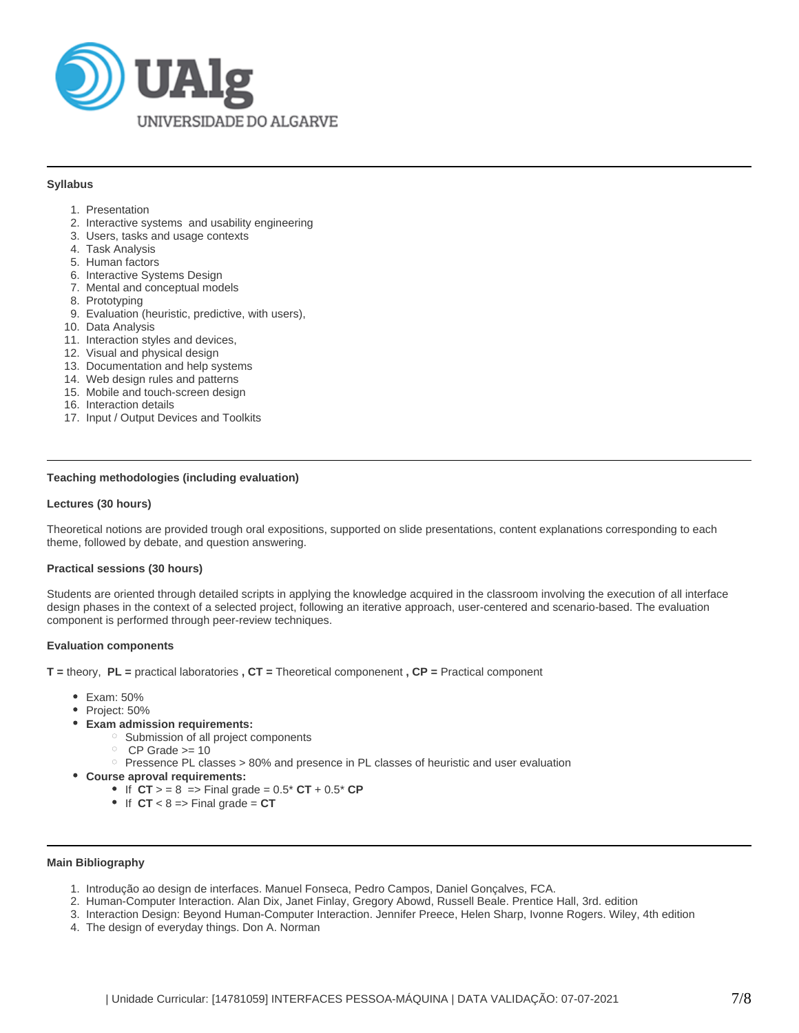

### **Syllabus**

- 1. Presentation
- 2. Interactive systems and usability engineering
- 3. Users, tasks and usage contexts
- 4. Task Analysis
- 5. Human factors
- 6. Interactive Systems Design
- 7. Mental and conceptual models
- 8. Prototyping
- 9. Evaluation (heuristic, predictive, with users),
- 10. Data Analysis
- 11. Interaction styles and devices,
- 12. Visual and physical design
- 13. Documentation and help systems
- 14. Web design rules and patterns
- 15. Mobile and touch-screen design
- 16. Interaction details
- 17. Input / Output Devices and Toolkits

# **Teaching methodologies (including evaluation)**

## **Lectures (30 hours)**

Theoretical notions are provided trough oral expositions, supported on slide presentations, content explanations corresponding to each theme, followed by debate, and question answering.

#### **Practical sessions (30 hours)**

Students are oriented through detailed scripts in applying the knowledge acquired in the classroom involving the execution of all interface design phases in the context of a selected project, following an iterative approach, user-centered and scenario-based. The evaluation component is performed through peer-review techniques.

#### **Evaluation components**

**T =** theory, **PL =** practical laboratories **, CT =** Theoretical componenent **, CP =** Practical component

- Exam: 50%
- Project: 50%
- **Exam admission requirements:**
	- o Submission of all project components
		- $O$  CP Grade  $>= 10$
	- $\degree$  Pressence PL classes > 80% and presence in PL classes of heuristic and user evaluation
- **Course aproval requirements:**
	- $\bullet$  If  $CT$  > = 8 = > Final grade =  $0.5$ <sup>\*</sup> CT +  $0.5$ <sup>\*</sup> CP
	- $\bullet$  If  $CT < 8 \Rightarrow$  Final grade =  $CT$

#### **Main Bibliography**

- 1. Introdução ao design de interfaces. Manuel Fonseca, Pedro Campos, Daniel Gonçalves, FCA.
- 2. Human-Computer Interaction. Alan Dix, Janet Finlay, Gregory Abowd, Russell Beale. Prentice Hall, 3rd. edition
- 3. Interaction Design: Beyond Human-Computer Interaction. Jennifer Preece, Helen Sharp, Ivonne Rogers. Wiley, 4th edition
- 4. The design of everyday things. Don A. Norman